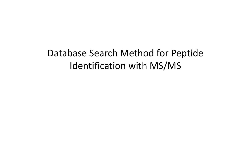# Database Search Method for Peptide Database Search Method for Peptide Identification with MS/MS Identification with MS/MS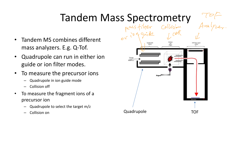# Tandem Mass Spectrometry

- Tandem MS combines different mass analyzers. E.g. Q-Tof.
- Quadrupole can run in either ion guide or ion filter modes.
- To measure the precursor ions
	- Quadrupole in ion guide mode
	- Collision off
- To measure the fragment ions of a precursor ion
	- Quadrupole to select the target m/z
	-

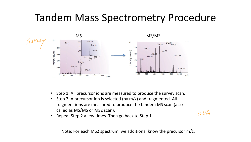### Tandem Mass Spectrometry Procedure



- Step 1. All precursor ions are measured to produce the survey scan.
- Step 2. A precursor ion is selected (by m/z) and fragmented. All fragment ions are measured to produce the tandem MS scan (also called as MS/MS or MS2 scan).
- Repeat Step 2 a few times. Then go back to Step 1.

DDA

Note: For each MS2 spectrum, we additional know the precursor m/z.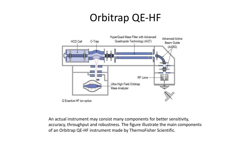## Orbitrap QE-HF



An actual instrument may consist many components for better sensitivity, accuracy, throughput and robustness. The figure illustrate the main components of an Orbitrap QE-HF instrument made by ThermoFisher Scientific.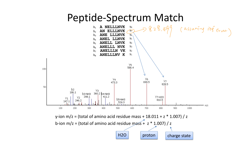#### Peptide-Spectrum Match

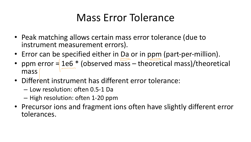# Mass Error Tolerance

- Peak matching allows certain mass error tolerance (due to instrument measurement errors).
- Error can be specified either in Da or in ppm (part-per-million).
- ppm error  $=$  1e6  $*$  (observed mass theoretical mass)/theoretical mass I measurement errors).<br>
Person parameter in Da or in ppm<br>
1e6 \* (observed mass – theoreti
- Different instrument has different error tolerance:
	- Low resolution: often 0.5-1 Da
	- High resolution: often 1-20 ppm
- Precursor ions and fragment ions often have slightly different error tolerances.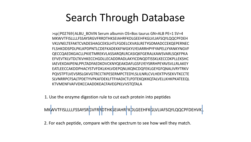# Search Through Database

>sp|P02769|ALBU\_BOVIN Serum albumin OS=Bos taurus GN=ALB PE=1 SV=4 MKWVTFISLLLLFSSAYSRGVFRRDTHKSEIAHRFKDLGEEHFKGLVLIAFSQYLQQCPFDEH VKLVNELTEFAKTCVADESHAGCEKSLHTLFGDELCKVASLRETYGDMADCCEKQEPERNEC FLSHKDDSPDLPKLKPDPNTLCDEFKADEKKFWGKYLYEIARRHPYFYAPELLYYANKYNGVF QECCQAEDKGACLLPKIETMREKVLASSARQRLRCASIQKFGERALKAWSVARLSQKFPKA EFVEVTKLVTDLTKVHKECCHGDLLECADDRADLAKYICDNQDTISSKLKECCDKPLLEKSHC IAEVEKDAIPENLPPLTADFAEDKDVCKNYQEAKDAFLGSFLYEYSRRHPEYAVSVLLRLAKEY EATLEECCAKDDPHACYSTVFDKLKHLVDEPQNLIKQNCDQFEKLGEYGFQNALIVRYTRKV PQVSTPTLVEVSRSLGKVGTRCCTKPESERMPCTEDYLSLILNRLCVLHEKTPVSEKVTKCCTE SLVNRRPCFSALTPDETYVPKAFDEKLFTFHADICTLPDTEKQIKKQTALVELLKHKPKATEEQL KTVMENFVAFVDKCCAADDKEACFAVEGPKLVVSTQTALA

1. Use the enzyme digestion rule to cut each protein into peptides

MKWVTFISLLLLFSSAYSRGVFRRDTHKSEIAHRFKDLGEEHFKGLVLIAFSQYLQQCPFDEHVKL

2. For each peptide, compare with the spectrum to see how well they match.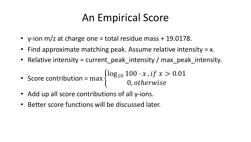# An Empirical Score

- y-ion  $m/z$  at charge one = total residue mass  $+$  19.0178.
- Find approximate matching peak. Assume relative intensity = x.
- Relative intensity = current\_peak\_intensity / max\_peak\_intensity.

• Score contribution = max 
$$
\begin{cases} \log_{10} 100 \cdot x, & \text{if } x > 0.01 \\ 0, & \text{otherwise} \end{cases}
$$

- Add up all score contributions of all y-ions.
- Better score functions will be discussed later.